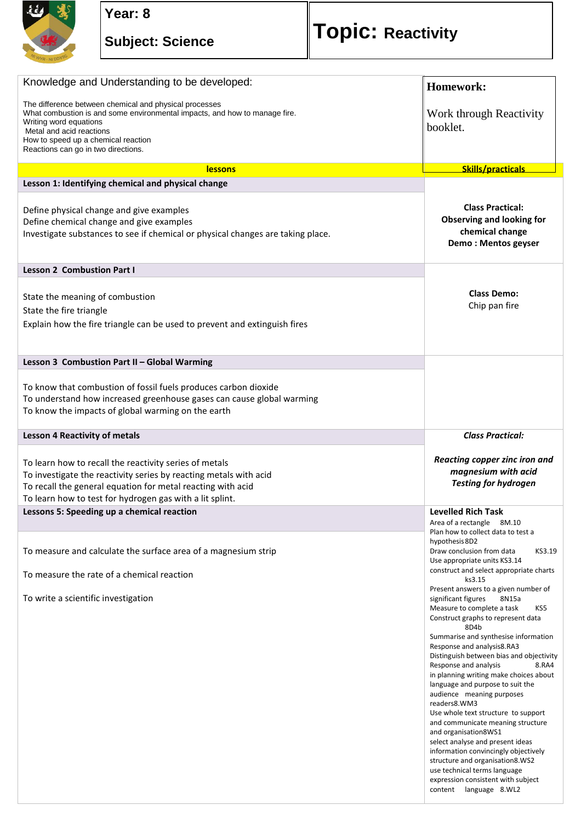

## **Year: 8**

## **Subject: Science Topic: Reactivity**

| Knowledge and Understanding to be developed:                                                                                                                                                                                                                             | Homework:                                                                                                                                                                                                     |
|--------------------------------------------------------------------------------------------------------------------------------------------------------------------------------------------------------------------------------------------------------------------------|---------------------------------------------------------------------------------------------------------------------------------------------------------------------------------------------------------------|
| The difference between chemical and physical processes<br>What combustion is and some environmental impacts, and how to manage fire.<br>Writing word equations<br>Metal and acid reactions<br>How to speed up a chemical reaction<br>Reactions can go in two directions. | Work through Reactivity<br>booklet.                                                                                                                                                                           |
| <b>lessons</b>                                                                                                                                                                                                                                                           | Skills/practicals                                                                                                                                                                                             |
| Lesson 1: Identifying chemical and physical change                                                                                                                                                                                                                       |                                                                                                                                                                                                               |
| Define physical change and give examples<br>Define chemical change and give examples<br>Investigate substances to see if chemical or physical changes are taking place.                                                                                                  | <b>Class Practical:</b><br><b>Observing and looking for</b><br>chemical change<br>Demo: Mentos geyser                                                                                                         |
| <b>Lesson 2 Combustion Part I</b>                                                                                                                                                                                                                                        |                                                                                                                                                                                                               |
| State the meaning of combustion<br>State the fire triangle<br>Explain how the fire triangle can be used to prevent and extinguish fires                                                                                                                                  | <b>Class Demo:</b><br>Chip pan fire                                                                                                                                                                           |
| Lesson 3 Combustion Part II - Global Warming                                                                                                                                                                                                                             |                                                                                                                                                                                                               |
| To know that combustion of fossil fuels produces carbon dioxide<br>To understand how increased greenhouse gases can cause global warming<br>To know the impacts of global warming on the earth                                                                           |                                                                                                                                                                                                               |
| <b>Lesson 4 Reactivity of metals</b>                                                                                                                                                                                                                                     | <b>Class Practical:</b>                                                                                                                                                                                       |
|                                                                                                                                                                                                                                                                          |                                                                                                                                                                                                               |
| To learn how to recall the reactivity series of metals<br>To investigate the reactivity series by reacting metals with acid<br>To recall the general equation for metal reacting with acid<br>To learn how to test for hydrogen gas with a lit splint.                   | Reacting copper zinc iron and<br>magnesium with acid<br><b>Testing for hydrogen</b>                                                                                                                           |
| Lessons 5: Speeding up a chemical reaction                                                                                                                                                                                                                               | <b>Levelled Rich Task</b>                                                                                                                                                                                     |
| To measure and calculate the surface area of a magnesium strip<br>To measure the rate of a chemical reaction                                                                                                                                                             | Area of a rectangle 8M.10<br>Plan how to collect data to test a<br>hypothesis 8D2<br>KS3.19<br>Draw conclusion from data<br>Use appropriate units KS3.14<br>construct and select appropriate charts<br>ks3.15 |
| To write a scientific investigation                                                                                                                                                                                                                                      | Present answers to a given number of<br>significant figures<br>8N15a<br>Measure to complete a task<br>KS5<br>Construct graphs to represent data<br>8D4b                                                       |